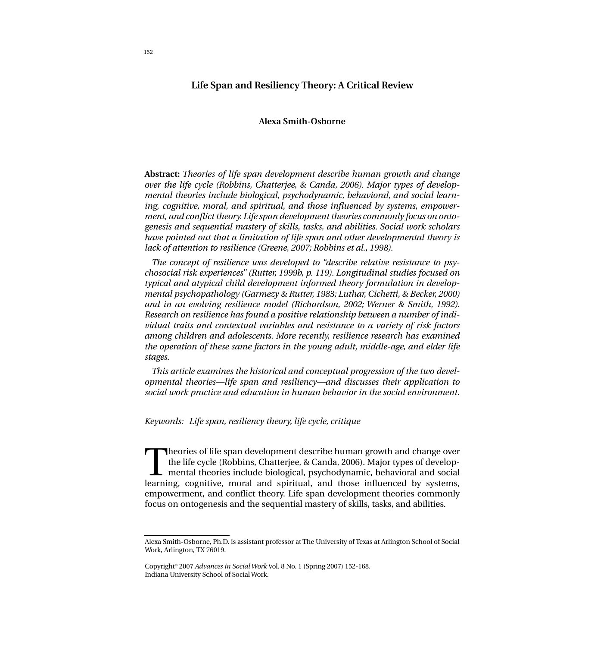# **Life Span and Resiliency Theory: A Critical Review**

## **Alexa Smith-Osborne**

**Abstract:** *Theories of life span development describe human growth and change over the life cycle (Robbins, Chatterjee, & Canda, 2006). Major types of developmental theories include biological, psychodynamic, behavioral, and social learning, cognitive, moral, and spiritual, and those influenced by systems, empowerment, and conflict theory. Life span development theories commonly focus on ontogenesis and sequential mastery of skills, tasks, and abilities. Social work scholars have pointed out that a limitation of life span and other developmental theory is lack of attention to resilience (Greene, 2007; Robbins et al., 1998).*

*The concept of resilience was developed to "describe relative resistance to psychosocial risk experiences" (Rutter, 1999b, p. 119). Longitudinal studies focused on typical and atypical child development informed theory formulation in developmental psychopathology (Garmezy & Rutter, 1983; Luthar, Cichetti, & Becker, 2000) and in an evolving resilience model (Richardson, 2002; Werner & Smith, 1992). Research on resilience has found a positive relationship between a number of individual traits and contextual variables and resistance to a variety of risk factors among children and adolescents. More recently, resilience research has examined the operation of these same factors in the young adult, middle-age, and elder life stages.*

*This article examines the historical and conceptual progression of the two developmental theories—life span and resiliency—and discusses their application to social work practice and education in human behavior in the social environment.*

*Keywords: Life span, resiliency theory, life cycle, critique*

Theories of life span development describe human growth and change over<br>the life cycle (Robbins, Chatterjee, & Canda, 2006). Major types of develop-<br>mental theories include biological, psychodynamic, behavioral and social<br> the life cycle (Robbins, Chatterjee, & Canda, 2006). Major types of developlearning, cognitive, moral and spiritual, and those influenced by systems, empowerment, and conflict theory. Life span development theories commonly focus on ontogenesis and the sequential mastery of skills, tasks, and abilities.

Alexa Smith-Osborne, Ph.D. is assistant professor at The University of Texas at Arlington School of Social Work, Arlington, TX 76019.

Copyright© 2007 *Advances in Social Work* Vol. 8 No. 1 (Spring 2007) 152-168. Indiana University School of Social Work.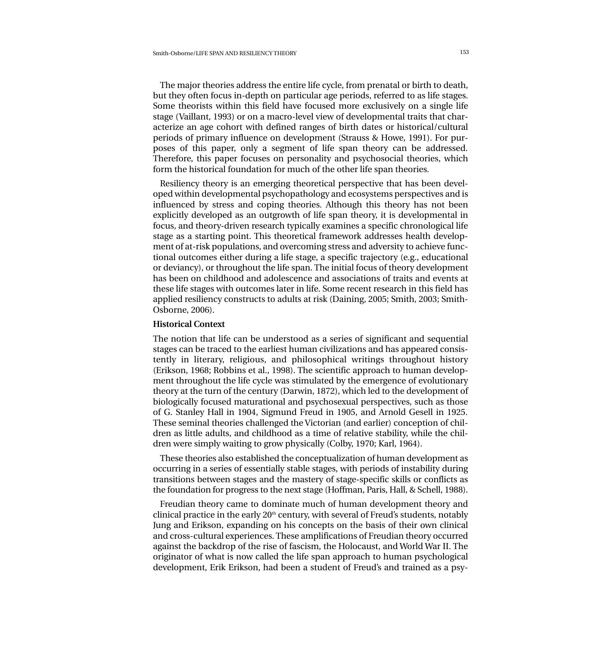The major theories address the entire life cycle, from prenatal or birth to death, but they often focus in-depth on particular age periods, referred to as life stages. Some theorists within this field have focused more exclusively on a single life stage (Vaillant, 1993) or on a macro-level view of developmental traits that characterize an age cohort with defined ranges of birth dates or historical/cultural periods of primary influence on development (Strauss & Howe, 1991). For purposes of this paper, only a segment of life span theory can be addressed. Therefore, this paper focuses on personality and psychosocial theories, which form the historical foundation for much of the other life span theories.

Resiliency theory is an emerging theoretical perspective that has been developed within developmental psychopathology and ecosystems perspectives and is influenced by stress and coping theories. Although this theory has not been explicitly developed as an outgrowth of life span theory, it is developmental in focus, and theory-driven research typically examines a specific chronological life stage as a starting point. This theoretical framework addresses health development of at-risk populations, and overcoming stress and adversity to achieve functional outcomes either during a life stage, a specific trajectory (e.g., educational or deviancy), or throughout the life span. The initial focus of theory development has been on childhood and adolescence and associations of traits and events at these life stages with outcomes later in life. Some recent research in this field has applied resiliency constructs to adults at risk (Daining, 2005; Smith, 2003; Smith-Osborne, 2006).

## **Historical Context**

The notion that life can be understood as a series of significant and sequential stages can be traced to the earliest human civilizations and has appeared consistently in literary, religious, and philosophical writings throughout history (Erikson, 1968; Robbins et al., 1998). The scientific approach to human development throughout the life cycle was stimulated by the emergence of evolutionary theory at the turn of the century (Darwin, 1872), which led to the development of biologically focused maturational and psychosexual perspectives, such as those of G. Stanley Hall in 1904, Sigmund Freud in 1905, and Arnold Gesell in 1925. These seminal theories challenged the Victorian (and earlier) conception of children as little adults, and childhood as a time of relative stability, while the children were simply waiting to grow physically (Colby, 1970; Karl, 1964).

These theories also established the conceptualization of human development as occurring in a series of essentially stable stages, with periods of instability during transitions between stages and the mastery of stage-specific skills or conflicts as the foundation for progress to the next stage (Hoffman, Paris, Hall, & Schell, 1988).

Freudian theory came to dominate much of human development theory and clinical practice in the early  $20<sup>th</sup>$  century, with several of Freud's students, notably Jung and Erikson, expanding on his concepts on the basis of their own clinical and cross-cultural experiences. These amplifications of Freudian theory occurred against the backdrop of the rise of fascism, the Holocaust, and World War II. The originator of what is now called the life span approach to human psychological development, Erik Erikson, had been a student of Freud's and trained as a psy-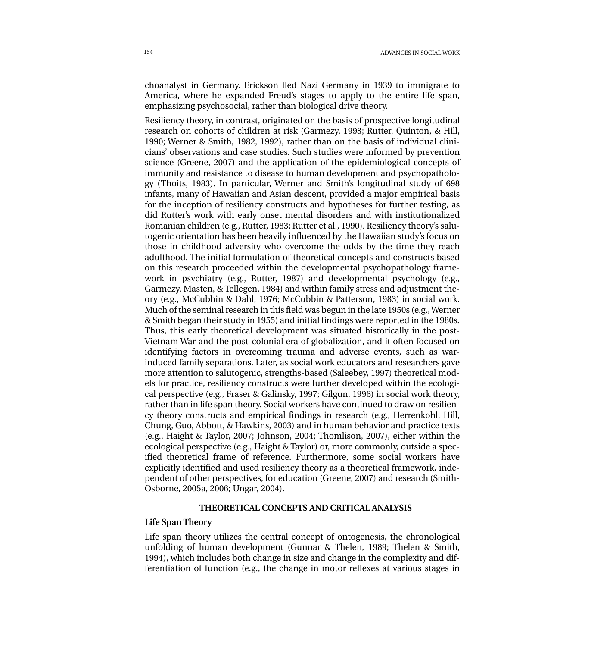choanalyst in Germany. Erickson fled Nazi Germany in 1939 to immigrate to America, where he expanded Freud's stages to apply to the entire life span, emphasizing psychosocial, rather than biological drive theory.

Resiliency theory, in contrast, originated on the basis of prospective longitudinal research on cohorts of children at risk (Garmezy, 1993; Rutter, Quinton, & Hill, 1990; Werner & Smith, 1982, 1992), rather than on the basis of individual clinicians' observations and case studies. Such studies were informed by prevention science (Greene, 2007) and the application of the epidemiological concepts of immunity and resistance to disease to human development and psychopathology (Thoits, 1983). In particular, Werner and Smith's longitudinal study of 698 infants, many of Hawaiian and Asian descent, provided a major empirical basis for the inception of resiliency constructs and hypotheses for further testing, as did Rutter's work with early onset mental disorders and with institutionalized Romanian children (e.g., Rutter, 1983; Rutter et al., 1990). Resiliency theory's salutogenic orientation has been heavily influenced by the Hawaiian study's focus on those in childhood adversity who overcome the odds by the time they reach adulthood. The initial formulation of theoretical concepts and constructs based on this research proceeded within the developmental psychopathology framework in psychiatry (e.g., Rutter, 1987) and developmental psychology (e.g., Garmezy, Masten, & Tellegen, 1984) and within family stress and adjustment theory (e.g., McCubbin & Dahl, 1976; McCubbin & Patterson, 1983) in social work. Much of the seminal research in this field was begun in the late 1950s (e.g., Werner & Smith began their study in 1955) and initial findings were reported in the 1980s. Thus, this early theoretical development was situated historically in the post-Vietnam War and the post-colonial era of globalization, and it often focused on identifying factors in overcoming trauma and adverse events, such as warinduced family separations. Later, as social work educators and researchers gave more attention to salutogenic, strengths-based (Saleebey, 1997) theoretical models for practice, resiliency constructs were further developed within the ecological perspective (e.g., Fraser & Galinsky, 1997; Gilgun, 1996) in social work theory, rather than in life span theory. Social workers have continued to draw on resiliency theory constructs and empirical findings in research (e.g., Herrenkohl, Hill, Chung, Guo, Abbott, & Hawkins, 2003) and in human behavior and practice texts (e.g., Haight & Taylor, 2007; Johnson, 2004; Thomlison, 2007), either within the ecological perspective (e.g., Haight & Taylor) or, more commonly, outside a specified theoretical frame of reference. Furthermore, some social workers have explicitly identified and used resiliency theory as a theoretical framework, independent of other perspectives, for education (Greene, 2007) and research (Smith-Osborne, 2005a, 2006; Ungar, 2004).

## **THEORETICAL CONCEPTS AND CRITICAL ANALYSIS**

## **Life Span Theory**

Life span theory utilizes the central concept of ontogenesis, the chronological unfolding of human development (Gunnar & Thelen, 1989; Thelen & Smith, 1994), which includes both change in size and change in the complexity and differentiation of function (e.g., the change in motor reflexes at various stages in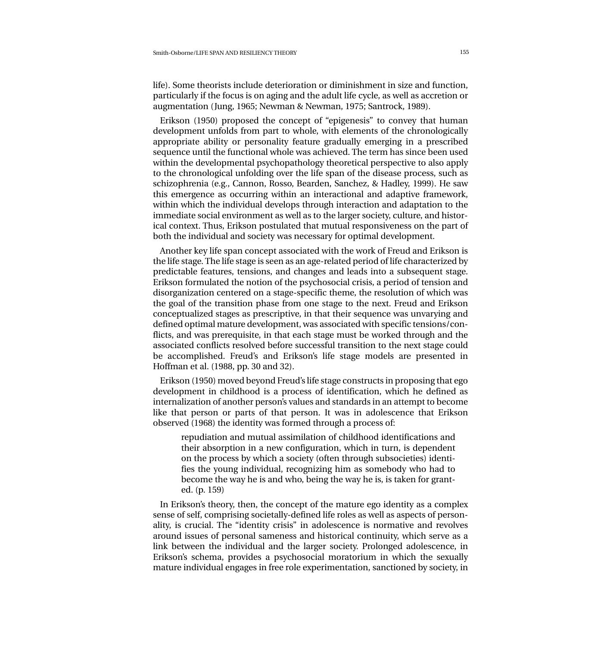life). Some theorists include deterioration or diminishment in size and function, particularly if the focus is on aging and the adult life cycle, as well as accretion or augmentation (Jung, 1965; Newman & Newman, 1975; Santrock, 1989).

Erikson (1950) proposed the concept of "epigenesis" to convey that human development unfolds from part to whole, with elements of the chronologically appropriate ability or personality feature gradually emerging in a prescribed sequence until the functional whole was achieved. The term has since been used within the developmental psychopathology theoretical perspective to also apply to the chronological unfolding over the life span of the disease process, such as schizophrenia (e.g., Cannon, Rosso, Bearden, Sanchez, & Hadley, 1999). He saw this emergence as occurring within an interactional and adaptive framework, within which the individual develops through interaction and adaptation to the immediate social environment as well as to the larger society, culture, and historical context. Thus, Erikson postulated that mutual responsiveness on the part of both the individual and society was necessary for optimal development.

Another key life span concept associated with the work of Freud and Erikson is the life stage. The life stage is seen as an age-related period of life characterized by predictable features, tensions, and changes and leads into a subsequent stage. Erikson formulated the notion of the psychosocial crisis, a period of tension and disorganization centered on a stage-specific theme, the resolution of which was the goal of the transition phase from one stage to the next. Freud and Erikson conceptualized stages as prescriptive, in that their sequence was unvarying and defined optimal mature development, was associated with specific tensions/conflicts, and was prerequisite, in that each stage must be worked through and the associated conflicts resolved before successful transition to the next stage could be accomplished. Freud's and Erikson's life stage models are presented in Hoffman et al. (1988, pp. 30 and 32).

Erikson (1950) moved beyond Freud's life stage constructs in proposing that ego development in childhood is a process of identification, which he defined as internalization of another person's values and standards in an attempt to become like that person or parts of that person. It was in adolescence that Erikson observed (1968) the identity was formed through a process of:

repudiation and mutual assimilation of childhood identifications and their absorption in a new configuration, which in turn, is dependent on the process by which a society (often through subsocieties) identifies the young individual, recognizing him as somebody who had to become the way he is and who, being the way he is, is taken for granted. (p. 159)

In Erikson's theory, then, the concept of the mature ego identity as a complex sense of self, comprising societally-defined life roles as well as aspects of personality, is crucial. The "identity crisis" in adolescence is normative and revolves around issues of personal sameness and historical continuity, which serve as a link between the individual and the larger society. Prolonged adolescence, in Erikson's schema, provides a psychosocial moratorium in which the sexually mature individual engages in free role experimentation, sanctioned by society, in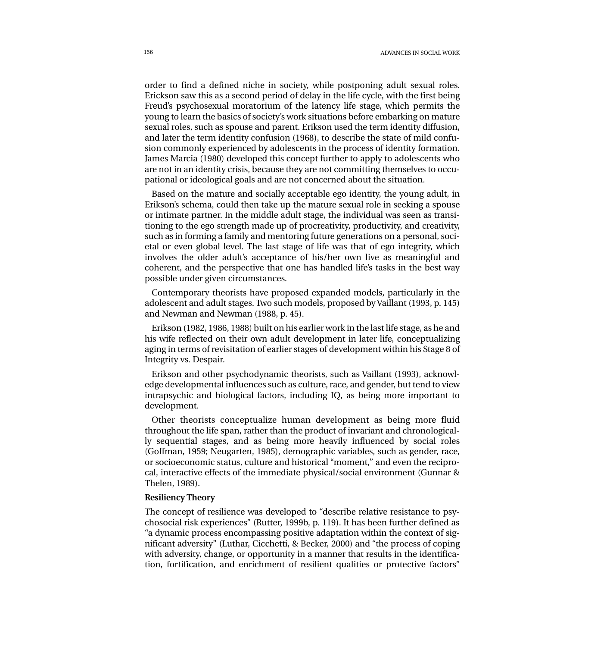order to find a defined niche in society, while postponing adult sexual roles. Erickson saw this as a second period of delay in the life cycle, with the first being Freud's psychosexual moratorium of the latency life stage, which permits the young to learn the basics of society's work situations before embarking on mature sexual roles, such as spouse and parent. Erikson used the term identity diffusion, and later the term identity confusion (1968), to describe the state of mild confusion commonly experienced by adolescents in the process of identity formation. James Marcia (1980) developed this concept further to apply to adolescents who are not in an identity crisis, because they are not committing themselves to occupational or ideological goals and are not concerned about the situation.

Based on the mature and socially acceptable ego identity, the young adult, in Erikson's schema, could then take up the mature sexual role in seeking a spouse or intimate partner. In the middle adult stage, the individual was seen as transitioning to the ego strength made up of procreativity, productivity, and creativity, such as in forming a family and mentoring future generations on a personal, societal or even global level. The last stage of life was that of ego integrity, which involves the older adult's acceptance of his/her own live as meaningful and coherent, and the perspective that one has handled life's tasks in the best way possible under given circumstances.

Contemporary theorists have proposed expanded models, particularly in the adolescent and adult stages. Two such models, proposed by Vaillant (1993, p. 145) and Newman and Newman (1988, p. 45).

Erikson (1982, 1986, 1988) built on his earlier work in the last life stage, as he and his wife reflected on their own adult development in later life, conceptualizing aging in terms of revisitation of earlier stages of development within his Stage 8 of Integrity vs. Despair.

Erikson and other psychodynamic theorists, such as Vaillant (1993), acknowledge developmental influences such as culture, race, and gender, but tend to view intrapsychic and biological factors, including IQ, as being more important to development.

Other theorists conceptualize human development as being more fluid throughout the life span, rather than the product of invariant and chronologically sequential stages, and as being more heavily influenced by social roles (Goffman, 1959; Neugarten, 1985), demographic variables, such as gender, race, or socioeconomic status, culture and historical "moment," and even the reciprocal, interactive effects of the immediate physical/social environment (Gunnar & Thelen, 1989).

#### **Resiliency Theory**

The concept of resilience was developed to "describe relative resistance to psychosocial risk experiences" (Rutter, 1999b, p. 119). It has been further defined as "a dynamic process encompassing positive adaptation within the context of significant adversity" (Luthar, Cicchetti, & Becker, 2000) and "the process of coping with adversity, change, or opportunity in a manner that results in the identification, fortification, and enrichment of resilient qualities or protective factors"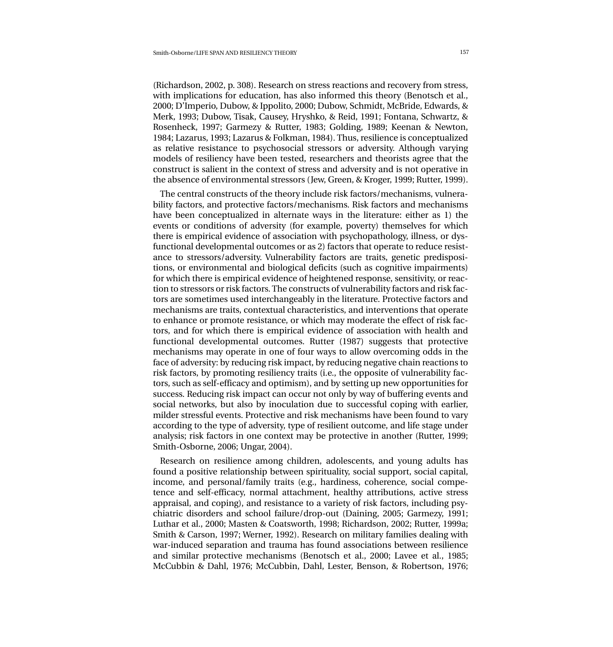(Richardson, 2002, p. 308). Research on stress reactions and recovery from stress, with implications for education, has also informed this theory (Benotsch et al., 2000; D'Imperio, Dubow, & Ippolito, 2000; Dubow, Schmidt, McBride, Edwards, & Merk, 1993; Dubow, Tisak, Causey, Hryshko, & Reid, 1991; Fontana, Schwartz, & Rosenheck, 1997; Garmezy & Rutter, 1983; Golding, 1989; Keenan & Newton, 1984; Lazarus, 1993; Lazarus & Folkman, 1984). Thus, resilience is conceptualized as relative resistance to psychosocial stressors or adversity. Although varying models of resiliency have been tested, researchers and theorists agree that the construct is salient in the context of stress and adversity and is not operative in the absence of environmental stressors (Jew, Green, & Kroger, 1999; Rutter, 1999).

The central constructs of the theory include risk factors/mechanisms, vulnerability factors, and protective factors/mechanisms. Risk factors and mechanisms have been conceptualized in alternate ways in the literature: either as 1) the events or conditions of adversity (for example, poverty) themselves for which there is empirical evidence of association with psychopathology, illness, or dysfunctional developmental outcomes or as 2) factors that operate to reduce resistance to stressors/adversity. Vulnerability factors are traits, genetic predispositions, or environmental and biological deficits (such as cognitive impairments) for which there is empirical evidence of heightened response, sensitivity, or reaction to stressors or risk factors. The constructs of vulnerability factors and risk factors are sometimes used interchangeably in the literature. Protective factors and mechanisms are traits, contextual characteristics, and interventions that operate to enhance or promote resistance, or which may moderate the effect of risk factors, and for which there is empirical evidence of association with health and functional developmental outcomes. Rutter (1987) suggests that protective mechanisms may operate in one of four ways to allow overcoming odds in the face of adversity: by reducing risk impact, by reducing negative chain reactions to risk factors, by promoting resiliency traits (i.e., the opposite of vulnerability factors, such as self-efficacy and optimism), and by setting up new opportunities for success. Reducing risk impact can occur not only by way of buffering events and social networks, but also by inoculation due to successful coping with earlier, milder stressful events. Protective and risk mechanisms have been found to vary according to the type of adversity, type of resilient outcome, and life stage under analysis; risk factors in one context may be protective in another (Rutter, 1999; Smith-Osborne, 2006; Ungar, 2004).

Research on resilience among children, adolescents, and young adults has found a positive relationship between spirituality, social support, social capital, income, and personal/family traits (e.g., hardiness, coherence, social competence and self-efficacy, normal attachment, healthy attributions, active stress appraisal, and coping), and resistance to a variety of risk factors, including psychiatric disorders and school failure/drop-out (Daining, 2005; Garmezy, 1991; Luthar et al., 2000; Masten & Coatsworth, 1998; Richardson, 2002; Rutter, 1999a; Smith & Carson, 1997; Werner, 1992). Research on military families dealing with war-induced separation and trauma has found associations between resilience and similar protective mechanisms (Benotsch et al., 2000; Lavee et al., 1985; McCubbin & Dahl, 1976; McCubbin, Dahl, Lester, Benson, & Robertson, 1976;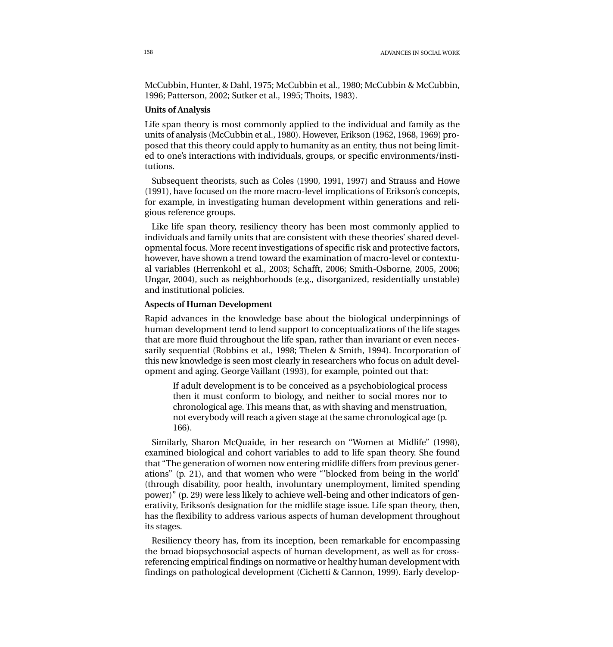McCubbin, Hunter, & Dahl, 1975; McCubbin et al., 1980; McCubbin & McCubbin, 1996; Patterson, 2002; Sutker et al., 1995; Thoits, 1983).

## **Units of Analysis**

Life span theory is most commonly applied to the individual and family as the units of analysis (McCubbin et al., 1980). However, Erikson (1962, 1968, 1969) proposed that this theory could apply to humanity as an entity, thus not being limited to one's interactions with individuals, groups, or specific environments/institutions.

Subsequent theorists, such as Coles (1990, 1991, 1997) and Strauss and Howe (1991), have focused on the more macro-level implications of Erikson's concepts, for example, in investigating human development within generations and religious reference groups.

Like life span theory, resiliency theory has been most commonly applied to individuals and family units that are consistent with these theories' shared developmental focus. More recent investigations of specific risk and protective factors, however, have shown a trend toward the examination of macro-level or contextual variables (Herrenkohl et al., 2003; Schafft, 2006; Smith-Osborne, 2005, 2006; Ungar, 2004), such as neighborhoods (e.g., disorganized, residentially unstable) and institutional policies.

## **Aspects of Human Development**

Rapid advances in the knowledge base about the biological underpinnings of human development tend to lend support to conceptualizations of the life stages that are more fluid throughout the life span, rather than invariant or even necessarily sequential (Robbins et al., 1998; Thelen & Smith, 1994). Incorporation of this new knowledge is seen most clearly in researchers who focus on adult development and aging. George Vaillant (1993), for example, pointed out that:

If adult development is to be conceived as a psychobiological process then it must conform to biology, and neither to social mores nor to chronological age. This means that, as with shaving and menstruation, not everybody will reach a given stage at the same chronological age (p. 166).

Similarly, Sharon McQuaide, in her research on "Women at Midlife" (1998), examined biological and cohort variables to add to life span theory. She found that "The generation of women now entering midlife differs from previous generations" (p. 21), and that women who were "'blocked from being in the world' (through disability, poor health, involuntary unemployment, limited spending power)" (p. 29) were less likely to achieve well-being and other indicators of generativity, Erikson's designation for the midlife stage issue. Life span theory, then, has the flexibility to address various aspects of human development throughout its stages.

Resiliency theory has, from its inception, been remarkable for encompassing the broad biopsychosocial aspects of human development, as well as for crossreferencing empirical findings on normative or healthy human development with findings on pathological development (Cichetti & Cannon, 1999). Early develop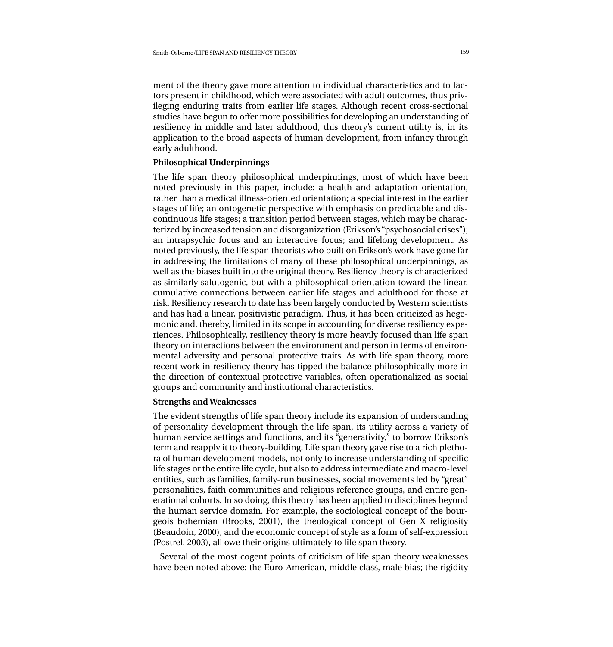ment of the theory gave more attention to individual characteristics and to factors present in childhood, which were associated with adult outcomes, thus privileging enduring traits from earlier life stages. Although recent cross-sectional studies have begun to offer more possibilities for developing an understanding of resiliency in middle and later adulthood, this theory's current utility is, in its application to the broad aspects of human development, from infancy through early adulthood.

# **Philosophical Underpinnings**

The life span theory philosophical underpinnings, most of which have been noted previously in this paper, include: a health and adaptation orientation, rather than a medical illness-oriented orientation; a special interest in the earlier stages of life; an ontogenetic perspective with emphasis on predictable and discontinuous life stages; a transition period between stages, which may be characterized by increased tension and disorganization (Erikson's "psychosocial crises"); an intrapsychic focus and an interactive focus; and lifelong development. As noted previously, the life span theorists who built on Erikson's work have gone far in addressing the limitations of many of these philosophical underpinnings, as well as the biases built into the original theory. Resiliency theory is characterized as similarly salutogenic, but with a philosophical orientation toward the linear, cumulative connections between earlier life stages and adulthood for those at risk. Resiliency research to date has been largely conducted by Western scientists and has had a linear, positivistic paradigm. Thus, it has been criticized as hegemonic and, thereby, limited in its scope in accounting for diverse resiliency experiences. Philosophically, resiliency theory is more heavily focused than life span theory on interactions between the environment and person in terms of environmental adversity and personal protective traits. As with life span theory, more recent work in resiliency theory has tipped the balance philosophically more in the direction of contextual protective variables, often operationalized as social groups and community and institutional characteristics.

# **Strengths and Weaknesses**

The evident strengths of life span theory include its expansion of understanding of personality development through the life span, its utility across a variety of human service settings and functions, and its "generativity," to borrow Erikson's term and reapply it to theory-building. Life span theory gave rise to a rich plethora of human development models, not only to increase understanding of specific life stages or the entire life cycle, but also to address intermediate and macro-level entities, such as families, family-run businesses, social movements led by "great" personalities, faith communities and religious reference groups, and entire generational cohorts. In so doing, this theory has been applied to disciplines beyond the human service domain. For example, the sociological concept of the bourgeois bohemian (Brooks, 2001), the theological concept of Gen X religiosity (Beaudoin, 2000), and the economic concept of style as a form of self-expression (Postrel, 2003), all owe their origins ultimately to life span theory.

Several of the most cogent points of criticism of life span theory weaknesses have been noted above: the Euro-American, middle class, male bias; the rigidity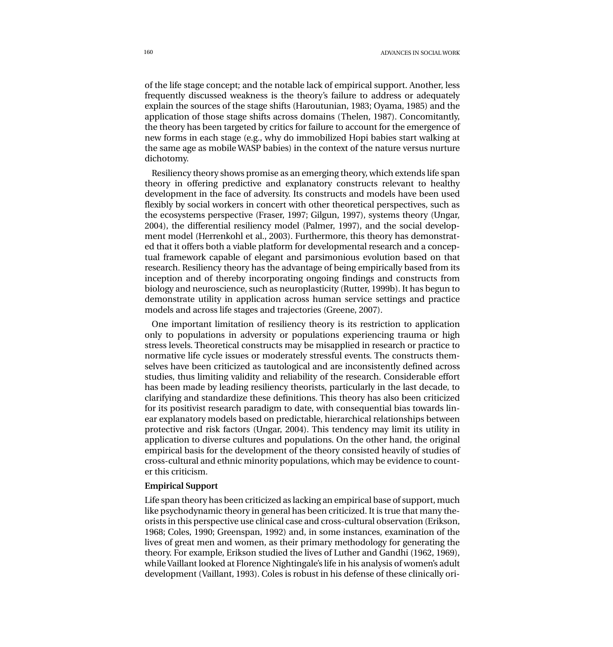of the life stage concept; and the notable lack of empirical support. Another, less frequently discussed weakness is the theory's failure to address or adequately explain the sources of the stage shifts (Haroutunian, 1983; Oyama, 1985) and the application of those stage shifts across domains (Thelen, 1987). Concomitantly, the theory has been targeted by critics for failure to account for the emergence of new forms in each stage (e.g., why do immobilized Hopi babies start walking at the same age as mobile WASP babies) in the context of the nature versus nurture dichotomy.

Resiliency theory shows promise as an emerging theory, which extends life span theory in offering predictive and explanatory constructs relevant to healthy development in the face of adversity. Its constructs and models have been used flexibly by social workers in concert with other theoretical perspectives, such as the ecosystems perspective (Fraser, 1997; Gilgun, 1997), systems theory (Ungar, 2004), the differential resiliency model (Palmer, 1997), and the social development model (Herrenkohl et al., 2003). Furthermore, this theory has demonstrated that it offers both a viable platform for developmental research and a conceptual framework capable of elegant and parsimonious evolution based on that research. Resiliency theory has the advantage of being empirically based from its inception and of thereby incorporating ongoing findings and constructs from biology and neuroscience, such as neuroplasticity (Rutter, 1999b). It has begun to demonstrate utility in application across human service settings and practice models and across life stages and trajectories (Greene, 2007).

One important limitation of resiliency theory is its restriction to application only to populations in adversity or populations experiencing trauma or high stress levels. Theoretical constructs may be misapplied in research or practice to normative life cycle issues or moderately stressful events. The constructs themselves have been criticized as tautological and are inconsistently defined across studies, thus limiting validity and reliability of the research. Considerable effort has been made by leading resiliency theorists, particularly in the last decade, to clarifying and standardize these definitions. This theory has also been criticized for its positivist research paradigm to date, with consequential bias towards linear explanatory models based on predictable, hierarchical relationships between protective and risk factors (Ungar, 2004). This tendency may limit its utility in application to diverse cultures and populations. On the other hand, the original empirical basis for the development of the theory consisted heavily of studies of cross-cultural and ethnic minority populations, which may be evidence to counter this criticism.

# **Empirical Support**

Life span theory has been criticized as lacking an empirical base of support, much like psychodynamic theory in general has been criticized. It is true that many theorists in this perspective use clinical case and cross-cultural observation (Erikson, 1968; Coles, 1990; Greenspan, 1992) and, in some instances, examination of the lives of great men and women, as their primary methodology for generating the theory. For example, Erikson studied the lives of Luther and Gandhi (1962, 1969), while Vaillant looked at Florence Nightingale's life in his analysis of women's adult development (Vaillant, 1993). Coles is robust in his defense of these clinically ori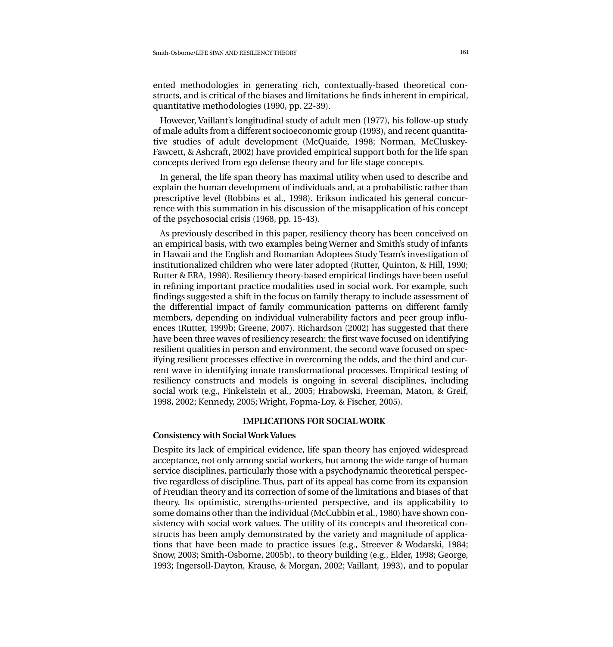ented methodologies in generating rich, contextually-based theoretical constructs, and is critical of the biases and limitations he finds inherent in empirical, quantitative methodologies (1990, pp. 22-39).

However, Vaillant's longitudinal study of adult men (1977), his follow-up study of male adults from a different socioeconomic group (1993), and recent quantitative studies of adult development (McQuaide, 1998; Norman, McCluskey-Fawcett, & Ashcraft, 2002) have provided empirical support both for the life span concepts derived from ego defense theory and for life stage concepts.

In general, the life span theory has maximal utility when used to describe and explain the human development of individuals and, at a probabilistic rather than prescriptive level (Robbins et al., 1998). Erikson indicated his general concurrence with this summation in his discussion of the misapplication of his concept of the psychosocial crisis (1968, pp. 15-43).

As previously described in this paper, resiliency theory has been conceived on an empirical basis, with two examples being Werner and Smith's study of infants in Hawaii and the English and Romanian Adoptees Study Team's investigation of institutionalized children who were later adopted (Rutter, Quinton, & Hill, 1990; Rutter & ERA, 1998). Resiliency theory-based empirical findings have been useful in refining important practice modalities used in social work. For example, such findings suggested a shift in the focus on family therapy to include assessment of the differential impact of family communication patterns on different family members, depending on individual vulnerability factors and peer group influences (Rutter, 1999b; Greene, 2007). Richardson (2002) has suggested that there have been three waves of resiliency research: the first wave focused on identifying resilient qualities in person and environment, the second wave focused on specifying resilient processes effective in overcoming the odds, and the third and current wave in identifying innate transformational processes. Empirical testing of resiliency constructs and models is ongoing in several disciplines, including social work (e.g., Finkelstein et al., 2005; Hrabowski, Freeman, Maton, & Greif, 1998, 2002; Kennedy, 2005; Wright, Fopma-Loy, & Fischer, 2005).

## **IMPLICATIONS FOR SOCIAL WORK**

## **Consistency with Social Work Values**

Despite its lack of empirical evidence, life span theory has enjoyed widespread acceptance, not only among social workers, but among the wide range of human service disciplines, particularly those with a psychodynamic theoretical perspective regardless of discipline. Thus, part of its appeal has come from its expansion of Freudian theory and its correction of some of the limitations and biases of that theory. Its optimistic, strengths-oriented perspective, and its applicability to some domains other than the individual (McCubbin et al., 1980) have shown consistency with social work values. The utility of its concepts and theoretical constructs has been amply demonstrated by the variety and magnitude of applications that have been made to practice issues (e.g., Streever & Wodarski, 1984; Snow, 2003; Smith-Osborne, 2005b), to theory building (e.g., Elder, 1998; George, 1993; Ingersoll-Dayton, Krause, & Morgan, 2002; Vaillant, 1993), and to popular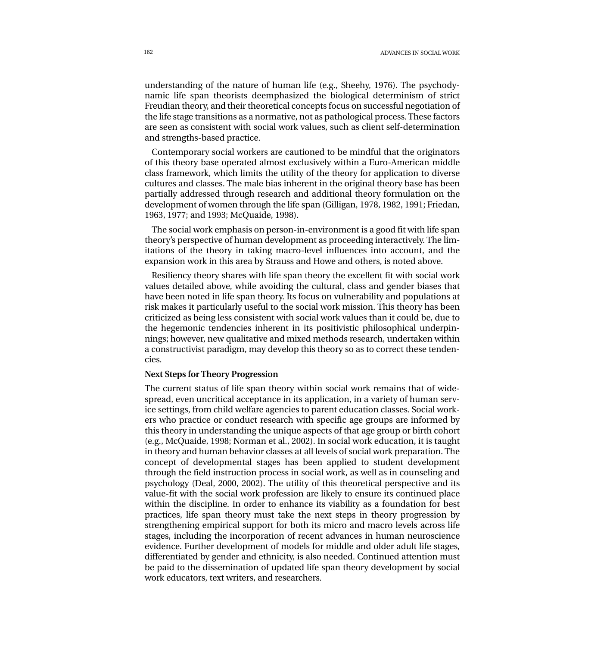162 ADVANCES IN SOCIAL WORK

understanding of the nature of human life (e.g., Sheehy, 1976). The psychodynamic life span theorists deemphasized the biological determinism of strict Freudian theory, and their theoretical concepts focus on successful negotiation of the life stage transitions as a normative, not as pathological process. These factors are seen as consistent with social work values, such as client self-determination and strengths-based practice.

Contemporary social workers are cautioned to be mindful that the originators of this theory base operated almost exclusively within a Euro-American middle class framework, which limits the utility of the theory for application to diverse cultures and classes. The male bias inherent in the original theory base has been partially addressed through research and additional theory formulation on the development of women through the life span (Gilligan, 1978, 1982, 1991; Friedan, 1963, 1977; and 1993; McQuaide, 1998).

The social work emphasis on person-in-environment is a good fit with life span theory's perspective of human development as proceeding interactively. The limitations of the theory in taking macro-level influences into account, and the expansion work in this area by Strauss and Howe and others, is noted above.

Resiliency theory shares with life span theory the excellent fit with social work values detailed above, while avoiding the cultural, class and gender biases that have been noted in life span theory. Its focus on vulnerability and populations at risk makes it particularly useful to the social work mission. This theory has been criticized as being less consistent with social work values than it could be, due to the hegemonic tendencies inherent in its positivistic philosophical underpinnings; however, new qualitative and mixed methods research, undertaken within a constructivist paradigm, may develop this theory so as to correct these tendencies.

#### **Next Steps for Theory Progression**

The current status of life span theory within social work remains that of widespread, even uncritical acceptance in its application, in a variety of human service settings, from child welfare agencies to parent education classes. Social workers who practice or conduct research with specific age groups are informed by this theory in understanding the unique aspects of that age group or birth cohort (e.g., McQuaide, 1998; Norman et al., 2002). In social work education, it is taught in theory and human behavior classes at all levels of social work preparation. The concept of developmental stages has been applied to student development through the field instruction process in social work, as well as in counseling and psychology (Deal, 2000, 2002). The utility of this theoretical perspective and its value-fit with the social work profession are likely to ensure its continued place within the discipline. In order to enhance its viability as a foundation for best practices, life span theory must take the next steps in theory progression by strengthening empirical support for both its micro and macro levels across life stages, including the incorporation of recent advances in human neuroscience evidence. Further development of models for middle and older adult life stages, differentiated by gender and ethnicity, is also needed. Continued attention must be paid to the dissemination of updated life span theory development by social work educators, text writers, and researchers.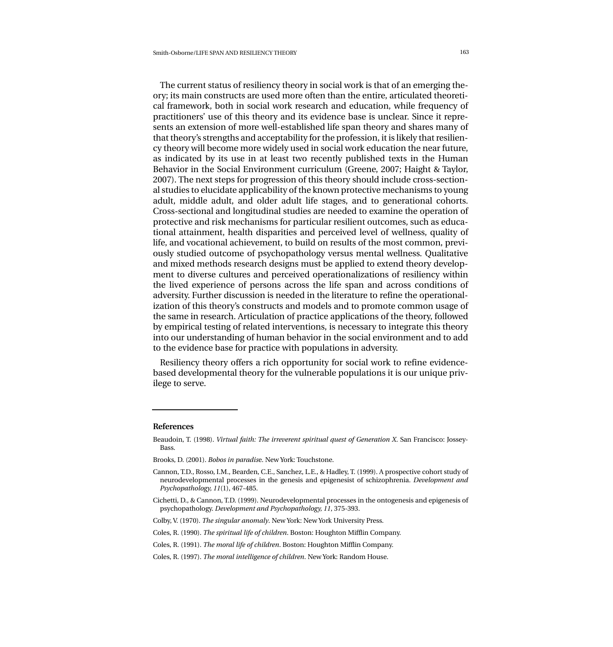The current status of resiliency theory in social work is that of an emerging theory; its main constructs are used more often than the entire, articulated theoretical framework, both in social work research and education, while frequency of practitioners' use of this theory and its evidence base is unclear. Since it represents an extension of more well-established life span theory and shares many of that theory's strengths and acceptability for the profession, it is likely that resiliency theory will become more widely used in social work education the near future, as indicated by its use in at least two recently published texts in the Human Behavior in the Social Environment curriculum (Greene, 2007; Haight & Taylor, 2007). The next steps for progression of this theory should include cross-sectional studies to elucidate applicability of the known protective mechanisms to young adult, middle adult, and older adult life stages, and to generational cohorts. Cross-sectional and longitudinal studies are needed to examine the operation of protective and risk mechanisms for particular resilient outcomes, such as educational attainment, health disparities and perceived level of wellness, quality of life, and vocational achievement, to build on results of the most common, previously studied outcome of psychopathology versus mental wellness. Qualitative and mixed methods research designs must be applied to extend theory development to diverse cultures and perceived operationalizations of resiliency within the lived experience of persons across the life span and across conditions of adversity. Further discussion is needed in the literature to refine the operationalization of this theory's constructs and models and to promote common usage of the same in research. Articulation of practice applications of the theory, followed by empirical testing of related interventions, is necessary to integrate this theory into our understanding of human behavior in the social environment and to add to the evidence base for practice with populations in adversity.

Resiliency theory offers a rich opportunity for social work to refine evidencebased developmental theory for the vulnerable populations it is our unique privilege to serve.

#### **References**

Beaudoin, T. (1998). *Virtual faith: The irreverent spiritual quest of Generation X*. San Francisco: Jossey-Bass.

Brooks, D. (2001). *Bobos in paradis*e. New York: Touchstone.

Cannon, T.D., Rosso, I.M., Bearden, C.E., Sanchez, L.E., & Hadley, T. (1999). A prospective cohort study of neurodevelopmental processes in the genesis and epigenesist of schizophrenia. *Development and Psychopathology, 11*(1), 467-485.

Cichetti, D., & Cannon, T.D. (1999). Neurodevelopmental processes in the ontogenesis and epigenesis of psychopathology. *Development and Psychopathology, 11*, 375-393.

Colby, V. (1970). *The singular anomaly*. New York: New York University Press.

Coles, R. (1990). *The spiritual life of children*. Boston: Houghton Mifflin Company.

Coles, R. (1991). *The moral life of children*. Boston: Houghton Mifflin Company.

Coles, R. (1997). *The moral intelligence of children*. New York: Random House.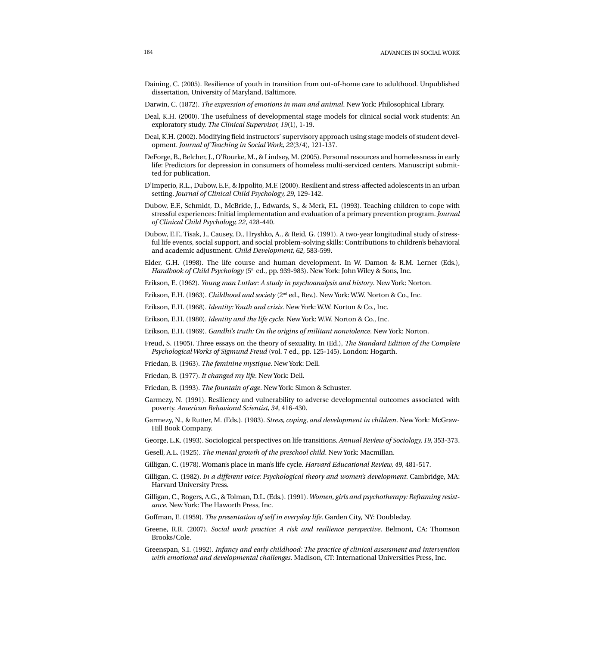- Daining, C. (2005). Resilience of youth in transition from out-of-home care to adulthood. Unpublished dissertation, University of Maryland, Baltimore.
- Darwin, C. (1872). *The expression of emotions in man and animal*. New York: Philosophical Library.
- Deal, K.H. (2000). The usefulness of developmental stage models for clinical social work students: An exploratory study. *The Clinical Supervisor, 19*(1), 1-19.
- Deal, K.H. (2002). Modifying field instructors' supervisory approach using stage models of student development. *Journal of Teaching in Social Work, 22*(3/4), 121-137.
- DeForge, B., Belcher, J., O'Rourke, M., & Lindsey, M. (2005). Personal resources and homelessness in early life: Predictors for depression in consumers of homeless multi-serviced centers. Manuscript submitted for publication.
- D'Imperio, R.L., Dubow, E.F., & Ippolito, M.F. (2000). Resilient and stress-affected adolescents in an urban setting. *Journal of Clinical Child Psychology, 29*, 129-142.
- Dubow, E.F., Schmidt, D., McBride, J., Edwards, S., & Merk, F.L. (1993). Teaching children to cope with stressful experiences: Initial implementation and evaluation of a primary prevention program. *Journal of Clinical Child Psychology, 22*, 428-440.
- Dubow, E.F., Tisak, J., Causey, D., Hryshko, A., & Reid, G. (1991). A two-year longitudinal study of stressful life events, social support, and social problem-solving skills: Contributions to children's behavioral and academic adjustment. *Child Development, 62*, 583-599.
- Elder, G.H. (1998). The life course and human development. In W. Damon & R.M. Lerner (Eds.), *Handbook of Child Psychology* (5<sup>th</sup> ed., pp. 939-983). New York: John Wiley & Sons, Inc.
- Erikson, E. (1962). *Young man Luther: A study in psychoanalysis and history*. New York: Norton.
- Erikson, E.H. (1963). *Childhood and society* (2nd ed., Rev.). New York: W.W. Norton & Co., Inc.
- Erikson, E.H. (1968). *Identity: Youth and crisis*. New York: W.W. Norton & Co., Inc.
- Erikson, E.H. (1980). *Identity and the life cycle*. New York: W.W. Norton & Co., Inc.
- Erikson, E.H. (1969). *Gandhi's truth: On the origins of militant nonviolence*. New York: Norton.
- Freud, S. (1905). Three essays on the theory of sexuality. In (Ed.), *The Standard Edition of the Complete Psychological Works of Sigmund Freud* (vol. 7 ed., pp. 125-145). London: Hogarth.
- Friedan, B. (1963). *The feminine mystique*. New York: Dell.
- Friedan, B. (1977). *It changed my life*. New York: Dell.
- Friedan, B. (1993). *The fountain of age*. New York: Simon & Schuster.
- Garmezy, N. (1991). Resiliency and vulnerability to adverse developmental outcomes associated with poverty. *American Behavioral Scientist, 34*, 416-430.
- Garmezy, N., & Rutter, M. (Eds.). (1983). *Stress, coping, and development in children*. New York: McGraw-Hill Book Company.
- George, L.K. (1993). Sociological perspectives on life transitions. *Annual Review of Sociology, 19*, 353-373.
- Gesell, A.L. (1925). *The mental growth of the preschool child*. New York: Macmillan.
- Gilligan, C. (1978). Woman's place in man's life cycle. *Harvard Educational Review, 49*, 481-517.
- Gilligan, C. (1982). *In a different voice: Psychological theory and women's development*. Cambridge, MA: Harvard University Press.
- Gilligan, C., Rogers, A.G., & Tolman, D.L. (Eds.). (1991). *Women, girls and psychotherapy: Reframing resistance*. New York: The Haworth Press, Inc.
- Goffman, E. (1959). *The presentation of self in everyday life*. Garden City, NY: Doubleday.
- Greene, R.R. (2007). *Social work practice: A risk and resilience perspective*. Belmont, CA: Thomson Brooks/Cole.
- Greenspan, S.I. (1992). *Infancy and early childhood: The practice of clinical assessment and intervention with emotional and developmental challenges*. Madison, CT: International Universities Press, Inc.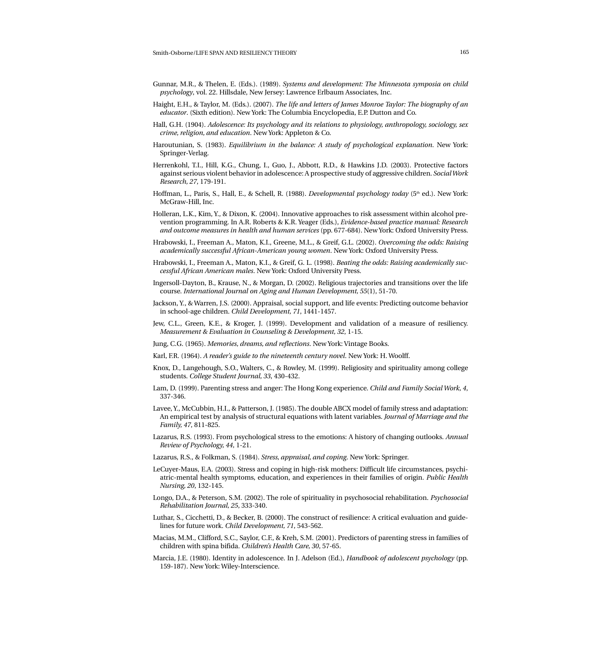- Gunnar, M.R., & Thelen, E. (Eds.). (1989). *Systems and development: The Minnesota symposia on child psychology*, vol. 22. Hillsdale, New Jersey: Lawrence Erlbaum Associates, Inc.
- Haight, E.H., & Taylor, M. (Eds.). (2007). *The life and letters of James Monroe Taylor: The biography of an educator*. (Sixth edition). New York: The Columbia Encyclopedia, E.P. Dutton and Co.
- Hall, G.H. (1904). *Adolescence: Its psychology and its relations to physiology, anthropology, sociology, sex crime, religion, and education*. New York: Appleton & Co.
- Haroutunian, S. (1983). *Equilibrium in the balance: A study of psychological explanation*. New York: Springer-Verlag.
- Herrenkohl, T.I., Hill, K.G., Chung, I., Guo, J., Abbott, R.D., & Hawkins J.D. (2003). Protective factors against serious violent behavior in adolescence: A prospective study of aggressive children. *Social Work Research, 27*, 179-191.
- Hoffman, L., Paris, S., Hall, E., & Schell, R. (1988). *Developmental psychology today* (5<sup>th</sup> ed.). New York: McGraw-Hill, Inc.
- Holleran, L.K., Kim, Y., & Dixon, K. (2004). Innovative approaches to risk assessment within alcohol prevention programming. In A.R. Roberts & K.R. Yeager (Eds.), *Evidence-based practice manual: Research and outcome measures in health and human services* (pp. 677-684). New York: Oxford University Press.
- Hrabowski, I., Freeman A., Maton, K.I., Greene, M.L., & Greif, G.L. (2002). *Overcoming the odds: Raising academically successful African-American young women*. New York: Oxford University Press.
- Hrabowski, I., Freeman A., Maton, K.I., & Greif, G. L. (1998). *Beating the odds: Raising academically successful African American males*. New York: Oxford University Press.
- Ingersoll-Dayton, B., Krause, N., & Morgan, D. (2002). Religious trajectories and transitions over the life course. *International Journal on Aging and Human Development, 55*(1), 51-70.
- Jackson, Y., & Warren, J.S. (2000). Appraisal, social support, and life events: Predicting outcome behavior in school-age children. *Child Development, 71*, 1441-1457.
- Jew, C.L., Green, K.E., & Kroger, J. (1999). Development and validation of a measure of resiliency. *Measurement & Evaluation in Counseling & Development, 32*, 1-15.
- Jung, C.G. (1965). *Memories, dreams, and reflections*. New York: Vintage Books.
- Karl, F.R. (1964). *A reader's guide to the nineteenth century novel*. New York: H. Woolff.
- Knox, D., Langehough, S.O., Walters, C., & Rowley, M. (1999). Religiosity and spirituality among college students. *College Student Journal, 33*, 430-432.
- Lam, D. (1999). Parenting stress and anger: The Hong Kong experience. *Child and Family Social Work, 4*, 337-346.
- Lavee, Y., McCubbin, H.I., & Patterson, J. (1985). The double ABCX model of family stress and adaptation: An empirical test by analysis of structural equations with latent variables. *Journal of Marriage and the Family, 47*, 811-825.
- Lazarus, R.S. (1993). From psychological stress to the emotions: A history of changing outlooks. *Annual Review of Psychology, 44*, 1-21.
- Lazarus, R.S., & Folkman, S. (1984). *Stress, appraisal, and coping*. New York: Springer.
- LeCuyer-Maus, E.A. (2003). Stress and coping in high-risk mothers: Difficult life circumstances, psychiatric-mental health symptoms, education, and experiences in their families of origin. *Public Health Nursing, 20*, 132-145.
- Longo, D.A., & Peterson, S.M. (2002). The role of spirituality in psychosocial rehabilitation. *Psychosocial Rehabilitation Journal, 25*, 333-340.
- Luthar, S., Cicchetti, D., & Becker, B. (2000). The construct of resilience: A critical evaluation and guidelines for future work. *Child Development, 71*, 543-562.
- Macias, M.M., Clifford, S.C., Saylor, C.F., & Kreh, S.M. (2001). Predictors of parenting stress in families of children with spina bifida. *Children's Health Care, 30*, 57-65.
- Marcia, J.E. (1980). Identity in adolescence. In J. Adelson (Ed.), *Handbook of adolescent psychology* (pp. 159-187). New York: Wiley-Interscience.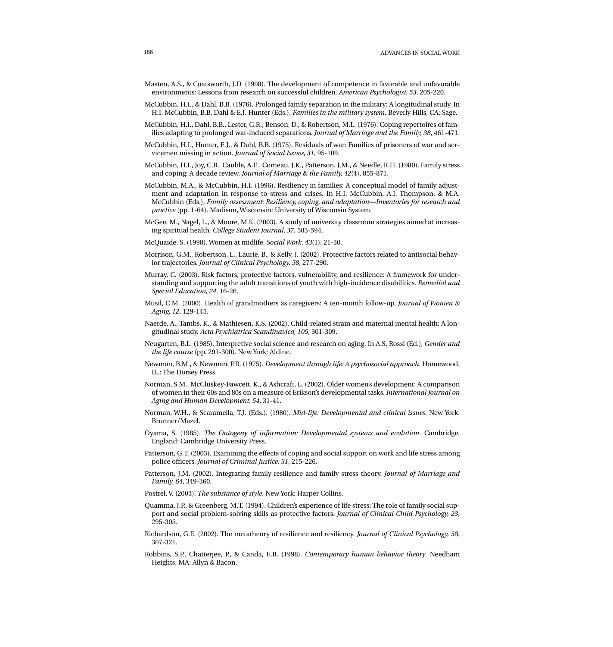- Masten, A.S., & Coatsworth, J.D. (1998). The development of competence in favorable and unfavorable environments: Lessons from research on successful children. *American Psychologist, 53*, 205-220.
- McCubbin, H.I., & Dahl, B.B. (1976). Prolonged family separation in the military: A longitudinal study. In H.I. McCubbin, B.B. Dahl & E.J. Hunter (Eds.), *Families in the military system*. Beverly Hills, CA: Sage.
- McCubbin, H.I., Dahl, B.B., Lester, G.R., Benson, D., & Robertson, M.L. (1976). Coping repertoires of families adapting to prolonged war-induced separations. *Journal of Marriage and the Family, 38*, 461-471.
- McCubbin, H.I., Hunter, E.J., & Dahl, B.B. (1975). Residuals of war: Families of prisoners of war and servicemen missing in action. *Journal of Social Issues, 31*, 95-109.
- McCubbin, H.I., Joy, C.B., Cauble, A.E., Comeau, J.K., Patterson, J.M., & Needle, R.H. (1980). Family stress and coping: A decade review. *Journal of Marriage & the Family, 42*(4), 855-871.
- McCubbin, M.A., & McCubbin, H.I. (1996). Resiliency in families: A conceptual model of family adjustment and adaptation in response to stress and crises. In H.I. McCubbin, A.I. Thompson, & M.A. McCubbin (Eds.), *Family assessment: Resiliency, coping, and adaptation—Inventories for research and practice* (pp. 1-64). Madison, Wisconsin: University of Wisconsin System.
- McGee, M., Nagel, L., & Moore, M.K. (2003). A study of university classroom strategies aimed at increasing spiritual health. *College Student Journal, 37*, 583-594.
- McQuaide, S. (1998). Women at midlife. *Social Work, 43*(1), 21-30.
- Morrison, G.M., Robertson, L., Laurie, B., & Kelly, J. (2002). Protective factors related to antisocial behavior trajectories. *Journal of Clinical Psychology, 58*, 277-290.
- Murray, C. (2003). Risk factors, protective factors, vulnerability, and resilience: A framework for understanding and supporting the adult transitions of youth with high-incidence disabilities. *Remedial and Special Education, 24*, 16-26.
- Musil, C.M. (2000). Health of grandmothers as caregivers: A ten-month follow-up. *Journal of Women & Aging, 12*, 129-145.
- Naerde, A., Tambs, K., & Mathiesen, K.S. (2002). Child-related strain and maternal mental health: A longitudinal study. *Acta Psychiatrica Scandinavica, 105*, 301-309.
- Neugarten, B.L. (1985). Interpretive social science and research on aging. In A.S. Rossi (Ed.), *Gender and the life course* (pp. 291-300). New York: Aldine.
- Newman, B.M., & Newman, P.R. (1975). *Development through life: A psychosocial approach*. Homewood, IL.: The Dorsey Press.
- Norman, S.M., McCluskey-Fawcett, K., & Ashcraft, L. (2002). Older women's development: A comparison of women in their 60s and 80s on a measure of Erikson's developmental tasks. *International Journal on Aging and Human Development, 54*, 31-41.
- Norman, W.H., & Scaramella, T.J. (Eds.). (1980). *Mid-life: Developmental and clinical issues*. New York: Brunner/Mazel.
- Oyama, S. (1985). *The Ontogeny of information: Developmental systems and evolution*. Cambridge, England: Cambridge University Press.
- Patterson, G.T. (2003). Examining the effects of coping and social support on work and life stress among police officers. *Journal of Criminal Justice, 31*, 215-226.
- Patterson, J.M. (2002). Integrating family resilience and family stress theory. *Journal of Marriage and Family, 64*, 349-360.
- Postrel, V. (2003). *The substance of style*. New York: Harper Collins.
- Quamma, J.P., & Greenberg, M.T. (1994). Children's experience of life stress: The role of family social support and social problem-solving skills as protective factors. *Journal of Clinical Child Psychology, 23*, 295-305.
- Richardson, G.E. (2002). The metatheory of resilience and resiliency. *Journal of Clinical Psychology, 58*, 307-321.
- Robbins, S.P., Chatterjee, P., & Canda, E.R. (1998). *Contemporary human behavior theory*. Needham Heights, MA: Allyn & Bacon.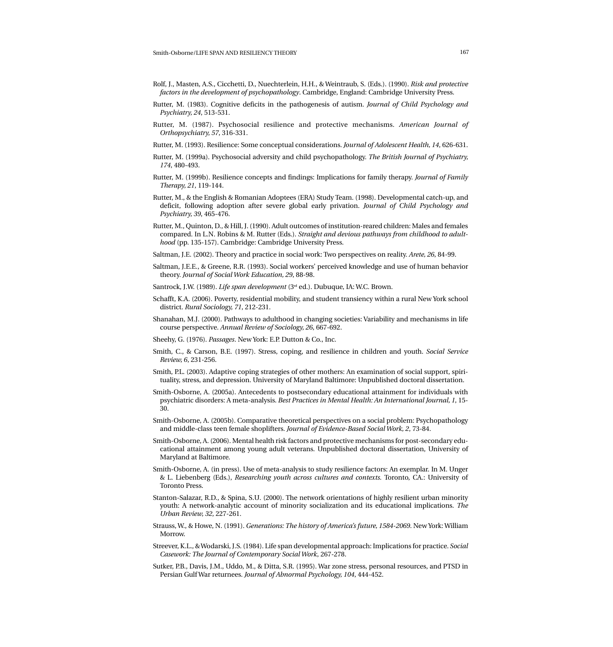- Rolf, J., Masten, A.S., Cicchetti, D., Nuechterlein, H.H., & Weintraub, S. (Eds.). (1990). *Risk and protective factors in the development of psychopathology*. Cambridge, England: Cambridge University Press.
- Rutter, M. (1983). Cognitive deficits in the pathogenesis of autism. *Journal of Child Psychology and Psychiatry, 24*, 513-531.
- Rutter, M. (1987). Psychosocial resilience and protective mechanisms. *American Journal of Orthopsychiatry, 57*, 316-331.
- Rutter, M. (1993). Resilience: Some conceptual considerations. *Journal of Adolescent Health, 14*, 626-631.
- Rutter, M. (1999a). Psychosocial adversity and child psychopathology. *The British Journal of Psychiatry, 174*, 480-493.
- Rutter, M. (1999b). Resilience concepts and findings: Implications for family therapy. *Journal of Family Therapy, 21*, 119-144.
- Rutter, M., & the English & Romanian Adoptees (ERA) Study Team. (1998). Developmental catch-up, and deficit, following adoption after severe global early privation. *Journal of Child Psychology and Psychiatry, 39*, 465-476.
- Rutter, M., Quinton, D., & Hill, J. (1990). Adult outcomes of institution-reared children: Males and females compared. In L.N. Robins & M. Rutter (Eds.). *Straight and devious pathways from childhood to adulthood* (pp. 135-157). Cambridge: Cambridge University Press.
- Saltman, J.E. (2002). Theory and practice in social work: Two perspectives on reality. *Arete, 26*, 84-99.
- Saltman, J.E.E., & Greene, R.R. (1993). Social workers' perceived knowledge and use of human behavior theory. *Journal of Social Work Education, 29*, 88-98.
- Santrock, J.W. (1989). *Life span development* (3rd ed.). Dubuque, IA: W.C. Brown.
- Schafft, K.A. (2006). Poverty, residential mobility, and student transiency within a rural New York school district. *Rural Sociology, 71*, 212-231.
- Shanahan, M.J. (2000). Pathways to adulthood in changing societies: Variability and mechanisms in life course perspective. *Annual Review of Sociology, 26*, 667-692.
- Sheehy, G. (1976). *Passages*. New York: E.P. Dutton & Co., Inc.
- Smith, C., & Carson, B.E. (1997). Stress, coping, and resilience in children and youth. *Social Service Review, 6*, 231-256.
- Smith, P.L. (2003). Adaptive coping strategies of other mothers: An examination of social support, spirituality, stress, and depression. University of Maryland Baltimore: Unpublished doctoral dissertation.
- Smith-Osborne, A. (2005a). Antecedents to postsecondary educational attainment for individuals with psychiatric disorders: A meta-analysis. *Best Practices in Mental Health: An International Journal, 1*, 15- 30.
- Smith-Osborne, A. (2005b). Comparative theoretical perspectives on a social problem: Psychopathology and middle-class teen female shoplifters. *Journal of Evidence-Based Social Work, 2*, 73-84.
- Smith-Osborne, A. (2006). Mental health risk factors and protective mechanisms for post-secondary educational attainment among young adult veterans. Unpublished doctoral dissertation, University of Maryland at Baltimore.
- Smith-Osborne, A. (in press). Use of meta-analysis to study resilience factors: An exemplar. In M. Unger & L. Liebenberg (Eds.), *Researching youth across cultures and contexts.* Toronto, CA.: University of Toronto Press.
- Stanton-Salazar, R.D., & Spina, S.U. (2000). The network orientations of highly resilient urban minority youth: A network-analytic account of minority socialization and its educational implications. *The Urban Review, 32*, 227-261.
- Strauss, W., & Howe, N. (1991). *Generations: The history of America's future, 1584-2069*. New York: William Morrow.
- Streever, K.L., & Wodarski, J.S. (1984). Life span developmental approach: Implications for practice. *Social Casework: The Journal of Contemporary Social Work*, 267-278.
- Sutker, P.B., Davis, J.M., Uddo, M., & Ditta, S.R. (1995). War zone stress, personal resources, and PTSD in Persian Gulf War returnees. *Journal of Abnormal Psychology, 104*, 444-452.